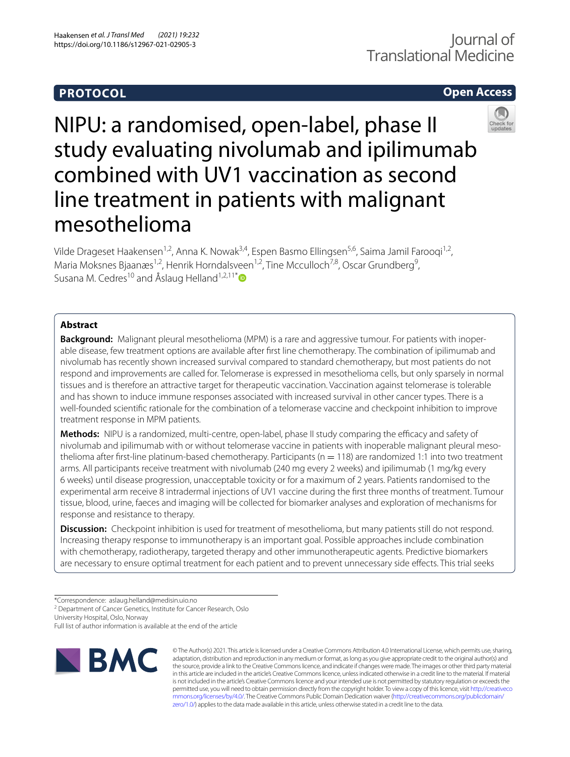# **PROTOCOL**

# **Open Access**



NIPU: a randomised, open-label, phase II study evaluating nivolumab and ipilimumab combined with UV1 vaccination as second line treatment in patients with malignant mesothelioma

Vilde Drageset Haakensen<sup>1,2</sup>, Anna K. Nowak<sup>3,4</sup>, Espen Basmo Ellingsen<sup>5,6</sup>, Saima Jamil Farooqi<sup>1,2</sup>, Maria Moksnes Bjaanæs<sup>1,2</sup>, Henrik Horndalsveen<sup>1,2</sup>, Tine Mcculloch<sup>7,8</sup>, Oscar Grundberg<sup>9</sup>, Susana M. Cedres<sup>10</sup> and Åslaug Helland<sup>1,2,11[\\*](http://orcid.org/0000-0002-5520-0275)</sup>

# **Abstract**

**Background:** Malignant pleural mesothelioma (MPM) is a rare and aggressive tumour. For patients with inoperable disease, few treatment options are available after frst line chemotherapy. The combination of ipilimumab and nivolumab has recently shown increased survival compared to standard chemotherapy, but most patients do not respond and improvements are called for. Telomerase is expressed in mesothelioma cells, but only sparsely in normal tissues and is therefore an attractive target for therapeutic vaccination. Vaccination against telomerase is tolerable and has shown to induce immune responses associated with increased survival in other cancer types. There is a well-founded scientifc rationale for the combination of a telomerase vaccine and checkpoint inhibition to improve treatment response in MPM patients.

Methods: NIPU is a randomized, multi-centre, open-label, phase II study comparing the efficacy and safety of nivolumab and ipilimumab with or without telomerase vaccine in patients with inoperable malignant pleural mesothelioma after first-line platinum-based chemotherapy. Participants ( $n = 118$ ) are randomized 1:1 into two treatment arms. All participants receive treatment with nivolumab (240 mg every 2 weeks) and ipilimumab (1 mg/kg every 6 weeks) until disease progression, unacceptable toxicity or for a maximum of 2 years. Patients randomised to the experimental arm receive 8 intradermal injections of UV1 vaccine during the frst three months of treatment. Tumour tissue, blood, urine, faeces and imaging will be collected for biomarker analyses and exploration of mechanisms for response and resistance to therapy.

**Discussion:** Checkpoint inhibition is used for treatment of mesothelioma, but many patients still do not respond. Increasing therapy response to immunotherapy is an important goal. Possible approaches include combination with chemotherapy, radiotherapy, targeted therapy and other immunotherapeutic agents. Predictive biomarkers are necessary to ensure optimal treatment for each patient and to prevent unnecessary side efects. This trial seeks

<sup>2</sup> Department of Cancer Genetics, Institute for Cancer Research, Oslo

University Hospital, Oslo, Norway

Full list of author information is available at the end of the article



© The Author(s) 2021. This article is licensed under a Creative Commons Attribution 4.0 International License, which permits use, sharing, adaptation, distribution and reproduction in any medium or format, as long as you give appropriate credit to the original author(s) and the source, provide a link to the Creative Commons licence, and indicate if changes were made. The images or other third party material in this article are included in the article's Creative Commons licence, unless indicated otherwise in a credit line to the material. If material is not included in the article's Creative Commons licence and your intended use is not permitted by statutory regulation or exceeds the permitted use, you will need to obtain permission directly from the copyright holder. To view a copy of this licence, visit [http://creativeco](http://creativecommons.org/licenses/by/4.0/) [mmons.org/licenses/by/4.0/.](http://creativecommons.org/licenses/by/4.0/) The Creative Commons Public Domain Dedication waiver ([http://creativecommons.org/publicdomain/](http://creativecommons.org/publicdomain/zero/1.0/) [zero/1.0/\)](http://creativecommons.org/publicdomain/zero/1.0/) applies to the data made available in this article, unless otherwise stated in a credit line to the data.

<sup>\*</sup>Correspondence: aslaug.helland@medisin.uio.no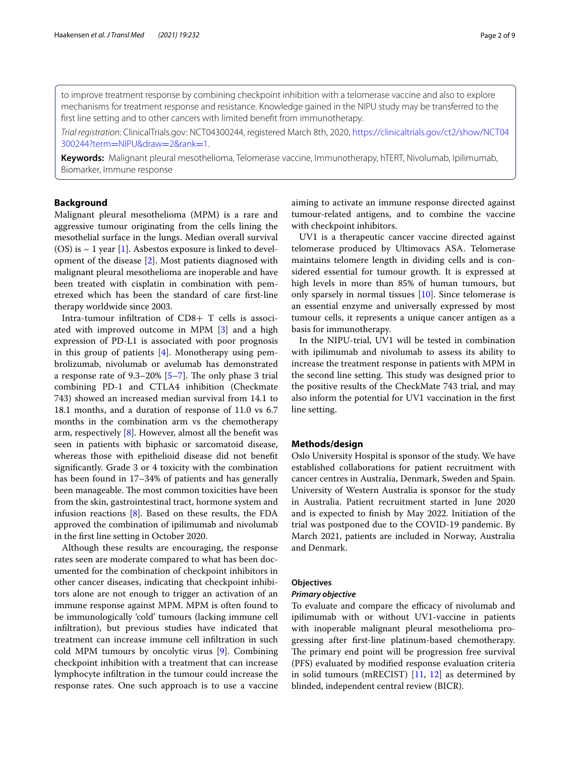to improve treatment response by combining checkpoint inhibition with a telomerase vaccine and also to explore mechanisms for treatment response and resistance. Knowledge gained in the NIPU study may be transferred to the frst line setting and to other cancers with limited beneft from immunotherapy.

*Trial registration*: ClinicalTrials.gov: NCT04300244, registered March 8th, 2020, [https://clinicaltrials.gov/ct2/show/NCT04](https://clinicaltrials.gov/ct2/show/NCT04300244?term=NIPU&draw=2&rank=1) [300244?term](https://clinicaltrials.gov/ct2/show/NCT04300244?term=NIPU&draw=2&rank=1)=NIPU&draw=2&rank=1.

**Keywords:** Malignant pleural mesothelioma, Telomerase vaccine, Immunotherapy, hTERT, Nivolumab, Ipilimumab, Biomarker, Immune response

# **Background**

Malignant pleural mesothelioma (MPM) is a rare and aggressive tumour originating from the cells lining the mesothelial surface in the lungs. Median overall survival (OS) is  $\sim$  1 year [\[1](#page-7-0)]. Asbestos exposure is linked to development of the disease [\[2](#page-7-1)]. Most patients diagnosed with malignant pleural mesothelioma are inoperable and have been treated with cisplatin in combination with pemetrexed which has been the standard of care frst-line therapy worldwide since 2003.

Intra-tumour infltration of CD8+ T cells is associated with improved outcome in MPM [[3\]](#page-7-2) and a high expression of PD-L1 is associated with poor prognosis in this group of patients [\[4](#page-7-3)]. Monotherapy using pembrolizumab, nivolumab or avelumab has demonstrated a response rate of  $9.3-20\%$  [\[5](#page-7-4)-[7\]](#page-7-5). The only phase 3 trial combining PD-1 and CTLA4 inhibition (Checkmate 743) showed an increased median survival from 14.1 to 18.1 months, and a duration of response of 11.0 vs 6.7 months in the combination arm vs the chemotherapy arm, respectively [\[8](#page-7-6)]. However, almost all the beneft was seen in patients with biphasic or sarcomatoid disease, whereas those with epithelioid disease did not beneft signifcantly. Grade 3 or 4 toxicity with the combination has been found in 17–34% of patients and has generally been manageable. The most common toxicities have been from the skin, gastrointestinal tract, hormone system and infusion reactions  $[8]$  $[8]$ . Based on these results, the FDA approved the combination of ipilimumab and nivolumab in the frst line setting in October 2020.

Although these results are encouraging, the response rates seen are moderate compared to what has been documented for the combination of checkpoint inhibitors in other cancer diseases, indicating that checkpoint inhibitors alone are not enough to trigger an activation of an immune response against MPM. MPM is often found to be immunologically 'cold' tumours (lacking immune cell infltration), but previous studies have indicated that treatment can increase immune cell infltration in such cold MPM tumours by oncolytic virus [[9\]](#page-7-7). Combining checkpoint inhibition with a treatment that can increase lymphocyte infltration in the tumour could increase the response rates. One such approach is to use a vaccine aiming to activate an immune response directed against tumour-related antigens, and to combine the vaccine with checkpoint inhibitors.

UV1 is a therapeutic cancer vaccine directed against telomerase produced by Ultimovacs ASA. Telomerase maintains telomere length in dividing cells and is considered essential for tumour growth. It is expressed at high levels in more than 85% of human tumours, but only sparsely in normal tissues [\[10\]](#page-7-8). Since telomerase is an essential enzyme and universally expressed by most tumour cells, it represents a unique cancer antigen as a basis for immunotherapy.

In the NIPU-trial, UV1 will be tested in combination with ipilimumab and nivolumab to assess its ability to increase the treatment response in patients with MPM in the second line setting. This study was designed prior to the positive results of the CheckMate 743 trial, and may also inform the potential for UV1 vaccination in the frst line setting.

# **Methods/design**

Oslo University Hospital is sponsor of the study. We have established collaborations for patient recruitment with cancer centres in Australia, Denmark, Sweden and Spain. University of Western Australia is sponsor for the study in Australia. Patient recruitment started in June 2020 and is expected to fnish by May 2022. Initiation of the trial was postponed due to the COVID-19 pandemic. By March 2021, patients are included in Norway, Australia and Denmark.

# **Objectives**

#### *Primary objective*

To evaluate and compare the efficacy of nivolumab and ipilimumab with or without UV1-vaccine in patients with inoperable malignant pleural mesothelioma progressing after frst-line platinum-based chemotherapy. The primary end point will be progression free survival (PFS) evaluated by modifed response evaluation criteria in solid tumours (mRECIST) [\[11](#page-7-9), [12\]](#page-7-10) as determined by blinded, independent central review (BICR).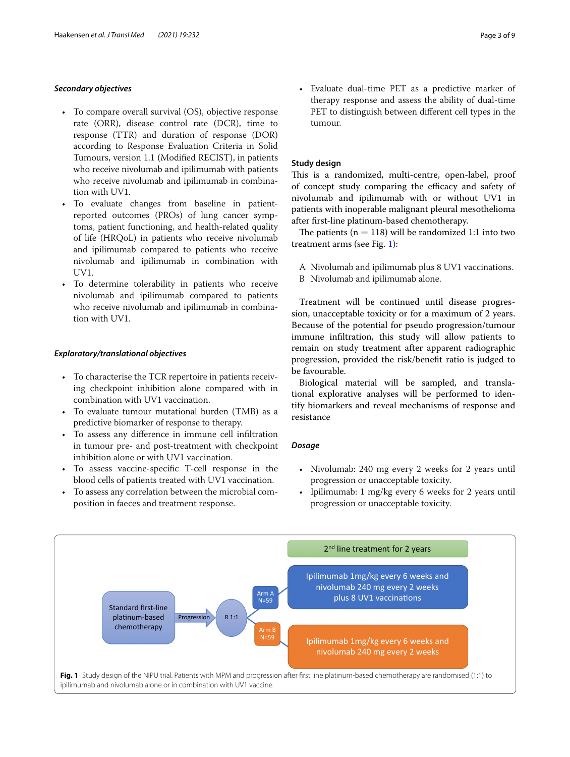## *Secondary objectives*

- To compare overall survival (OS), objective response rate (ORR), disease control rate (DCR), time to response (TTR) and duration of response (DOR) according to Response Evaluation Criteria in Solid Tumours, version 1.1 (Modifed RECIST), in patients who receive nivolumab and ipilimumab with patients who receive nivolumab and ipilimumab in combination with UV1.
- To evaluate changes from baseline in patientreported outcomes (PROs) of lung cancer symptoms, patient functioning, and health-related quality of life (HRQoL) in patients who receive nivolumab and ipilimumab compared to patients who receive nivolumab and ipilimumab in combination with UV1.
- To determine tolerability in patients who receive nivolumab and ipilimumab compared to patients who receive nivolumab and ipilimumab in combination with UV1.

# *Exploratory/translational objectives*

- To characterise the TCR repertoire in patients receiving checkpoint inhibition alone compared with in combination with UV1 vaccination.
- To evaluate tumour mutational burden (TMB) as a predictive biomarker of response to therapy.
- To assess any diference in immune cell infltration in tumour pre- and post-treatment with checkpoint inhibition alone or with UV1 vaccination.
- To assess vaccine-specifc T-cell response in the blood cells of patients treated with UV1 vaccination.
- To assess any correlation between the microbial composition in faeces and treatment response.

• Evaluate dual-time PET as a predictive marker of therapy response and assess the ability of dual-time PET to distinguish between different cell types in the tumour.

## **Study design**

This is a randomized, multi-centre, open-label, proof of concept study comparing the efficacy and safety of nivolumab and ipilimumab with or without UV1 in patients with inoperable malignant pleural mesothelioma after frst-line platinum-based chemotherapy.

The patients ( $n = 118$ ) will be randomized 1:1 into two treatment arms (see Fig. [1\)](#page-2-0):

- A Nivolumab and ipilimumab plus 8 UV1 vaccinations.
- B Nivolumab and ipilimumab alone.

Treatment will be continued until disease progression, unacceptable toxicity or for a maximum of 2 years. Because of the potential for pseudo progression/tumour immune infltration, this study will allow patients to remain on study treatment after apparent radiographic progression, provided the risk/beneft ratio is judged to be favourable.

Biological material will be sampled, and translational explorative analyses will be performed to identify biomarkers and reveal mechanisms of response and resistance

## *Dosage*

- Nivolumab: 240 mg every 2 weeks for 2 years until progression or unacceptable toxicity.
- Ipilimumab: 1 mg/kg every 6 weeks for 2 years until progression or unacceptable toxicity.

<span id="page-2-0"></span>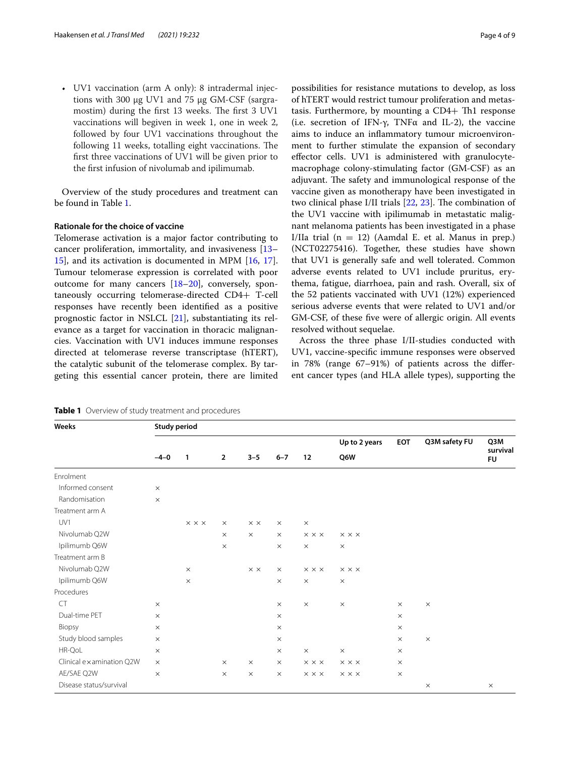• UV1 vaccination (arm A only): 8 intradermal injections with 300 μg UV1 and 75 μg GM-CSF (sargramostim) during the first 13 weeks. The first 3 UV1 vaccinations will begiven in week 1, one in week 2, followed by four UV1 vaccinations throughout the following 11 weeks, totalling eight vaccinations. The frst three vaccinations of UV1 will be given prior to the frst infusion of nivolumab and ipilimumab.

Overview of the study procedures and treatment can be found in Table [1.](#page-3-0)

### **Rationale for the choice of vaccine**

Telomerase activation is a major factor contributing to cancer proliferation, immortality, and invasiveness [[13–](#page-7-11) [15\]](#page-7-12), and its activation is documented in MPM [[16](#page-7-13), [17](#page-7-14)]. Tumour telomerase expression is correlated with poor outcome for many cancers [\[18](#page-7-15)[–20\]](#page-8-0), conversely, spontaneously occurring telomerase-directed CD4+ T-cell responses have recently been identifed as a positive prognostic factor in NSLCL [[21\]](#page-8-1), substantiating its relevance as a target for vaccination in thoracic malignancies. Vaccination with UV1 induces immune responses directed at telomerase reverse transcriptase (hTERT), the catalytic subunit of the telomerase complex. By targeting this essential cancer protein, there are limited possibilities for resistance mutations to develop, as loss of hTERT would restrict tumour proliferation and metastasis. Furthermore, by mounting a  $CD4+ Th1$  response (i.e. secretion of IFN- $\gamma$ , TNF $\alpha$  and IL-2), the vaccine aims to induce an infammatory tumour microenvironment to further stimulate the expansion of secondary efector cells. UV1 is administered with granulocytemacrophage colony-stimulating factor (GM-CSF) as an adjuvant. The safety and immunological response of the vaccine given as monotherapy have been investigated in two clinical phase I/II trials  $[22, 23]$  $[22, 23]$  $[22, 23]$  $[22, 23]$ . The combination of the UV1 vaccine with ipilimumab in metastatic malignant melanoma patients has been investigated in a phase I/IIa trial  $(n = 12)$  (Aamdal E. et al. Manus in prep.) (NCT02275416). Together, these studies have shown that UV1 is generally safe and well tolerated. Common adverse events related to UV1 include pruritus, erythema, fatigue, diarrhoea, pain and rash. Overall, six of the 52 patients vaccinated with UV1 (12%) experienced serious adverse events that were related to UV1 and/or GM-CSF, of these fve were of allergic origin. All events resolved without sequelae.

Across the three phase I/II-studies conducted with UV1, vaccine-specifc immune responses were observed in 78% (range 67–91%) of patients across the diferent cancer types (and HLA allele types), supporting the

| Weeks                    | <b>Study period</b> |                            |                |                   |          |                            |                            |            |               |                              |           |
|--------------------------|---------------------|----------------------------|----------------|-------------------|----------|----------------------------|----------------------------|------------|---------------|------------------------------|-----------|
|                          | $-4-0$              | $\mathbf{1}$               | $\overline{2}$ | $3 - 5$           | $6 - 7$  | 12                         | Up to 2 years<br>Q6W       | <b>EOT</b> | Q3M safety FU | Q3M<br>survival<br><b>FU</b> |           |
|                          |                     |                            |                |                   |          |                            |                            |            |               |                              | Enrolment |
| Informed consent         | $\times$            |                            |                |                   |          |                            |                            |            |               |                              |           |
| Randomisation            | $\times$            |                            |                |                   |          |                            |                            |            |               |                              |           |
| Treatment arm A          |                     |                            |                |                   |          |                            |                            |            |               |                              |           |
| UV1                      |                     | $\times$ $\times$ $\times$ | $\times$       | $\times$ $\times$ | $\times$ | $\times$                   |                            |            |               |                              |           |
| Nivolumab Q2W            |                     |                            | $\times$       | $\times$          | $\times$ | $\times$ $\times$ $\times$ | $\times$ $\times$ $\times$ |            |               |                              |           |
| Ipilimumb Q6W            |                     |                            | $\times$       |                   | $\times$ | $\times$                   | $\times$                   |            |               |                              |           |
| Treatment arm B          |                     |                            |                |                   |          |                            |                            |            |               |                              |           |
| Nivolumab Q2W            |                     | $\times$                   |                | $\times$ $\times$ | $\times$ | $\times$ $\times$ $\times$ | $\times$ $\times$ $\times$ |            |               |                              |           |
| Ipilimumb Q6W            |                     | $\times$                   |                |                   | $\times$ | $\times$                   | $\times$                   |            |               |                              |           |
| Procedures               |                     |                            |                |                   |          |                            |                            |            |               |                              |           |
| <b>CT</b>                | $\times$            |                            |                |                   | $\times$ | $\times$                   | $\times$                   | $\times$   | $\times$      |                              |           |
| Dual-time PET            | $\times$            |                            |                |                   | $\times$ |                            |                            | $\times$   |               |                              |           |
| Biopsy                   | $\times$            |                            |                |                   | $\times$ |                            |                            | $\times$   |               |                              |           |
| Study blood samples      | $\times$            |                            |                |                   | $\times$ |                            |                            | $\times$   | $\times$      |                              |           |
| HR-QoL                   | $\times$            |                            |                |                   | $\times$ | $\times$                   | $\times$                   | $\times$   |               |                              |           |
| Clinical examination Q2W | $\times$            |                            | $\times$       | $\times$          | $\times$ | $\times$ $\times$ $\times$ | $\times$ $\times$ $\times$ | $\times$   |               |                              |           |
| AE/SAE Q2W               | $\times$            |                            | $\times$       | $\times$          | $\times$ | $\times$ $\times$ $\times$ | $\times$ $\times$ $\times$ | $\times$   |               |                              |           |
| Disease status/survival  |                     |                            |                |                   |          |                            |                            |            | $\times$      | $\times$                     |           |

<span id="page-3-0"></span>**Table 1** Overview of study treatment and procedures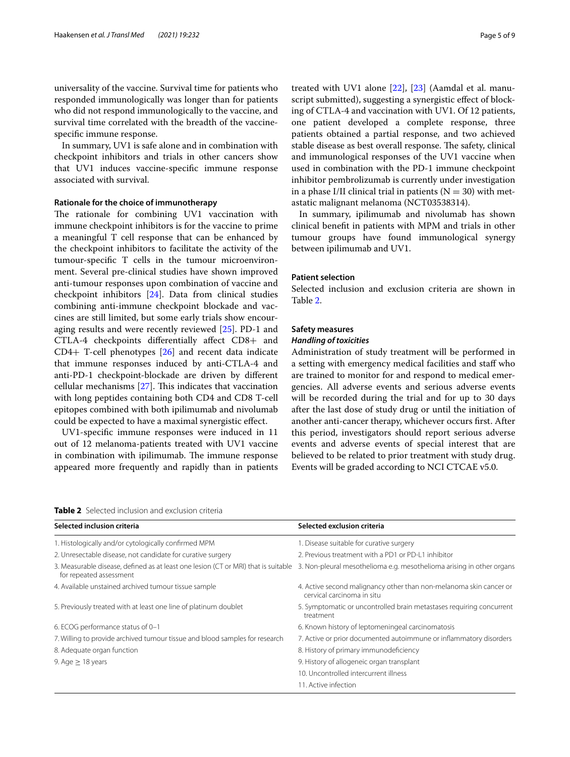universality of the vaccine. Survival time for patients who responded immunologically was longer than for patients who did not respond immunologically to the vaccine, and survival time correlated with the breadth of the vaccinespecifc immune response.

In summary, UV1 is safe alone and in combination with checkpoint inhibitors and trials in other cancers show that UV1 induces vaccine-specifc immune response associated with survival.

### **Rationale for the choice of immunotherapy**

The rationale for combining UV1 vaccination with immune checkpoint inhibitors is for the vaccine to prime a meaningful T cell response that can be enhanced by the checkpoint inhibitors to facilitate the activity of the tumour-specifc T cells in the tumour microenvironment. Several pre-clinical studies have shown improved anti-tumour responses upon combination of vaccine and checkpoint inhibitors [\[24\]](#page-8-4). Data from clinical studies combining anti-immune checkpoint blockade and vaccines are still limited, but some early trials show encouraging results and were recently reviewed [\[25](#page-8-5)]. PD-1 and CTLA-4 checkpoints diferentially afect CD8+ and CD4+ T-cell phenotypes [[26\]](#page-8-6) and recent data indicate that immune responses induced by anti-CTLA-4 and anti-PD-1 checkpoint-blockade are driven by diferent cellular mechanisms  $[27]$  $[27]$ . This indicates that vaccination with long peptides containing both CD4 and CD8 T-cell epitopes combined with both ipilimumab and nivolumab could be expected to have a maximal synergistic efect.

UV1-specifc immune responses were induced in 11 out of 12 melanoma-patients treated with UV1 vaccine in combination with ipilimumab. The immune response appeared more frequently and rapidly than in patients treated with UV1 alone [\[22](#page-8-2)], [\[23](#page-8-3)] (Aamdal et al. manuscript submitted), suggesting a synergistic effect of blocking of CTLA-4 and vaccination with UV1. Of 12 patients, one patient developed a complete response, three patients obtained a partial response, and two achieved stable disease as best overall response. The safety, clinical and immunological responses of the UV1 vaccine when used in combination with the PD-1 immune checkpoint inhibitor pembrolizumab is currently under investigation in a phase I/II clinical trial in patients  $(N = 30)$  with metastatic malignant melanoma (NCT03538314).

In summary, ipilimumab and nivolumab has shown clinical beneft in patients with MPM and trials in other tumour groups have found immunological synergy between ipilimumab and UV1.

## **Patient selection**

Selected inclusion and exclusion criteria are shown in Table [2](#page-4-0).

## **Safety measures**

## *Handling of toxicities*

Administration of study treatment will be performed in a setting with emergency medical facilities and staf who are trained to monitor for and respond to medical emergencies. All adverse events and serious adverse events will be recorded during the trial and for up to 30 days after the last dose of study drug or until the initiation of another anti-cancer therapy, whichever occurs frst. After this period, investigators should report serious adverse events and adverse events of special interest that are believed to be related to prior treatment with study drug. Events will be graded according to NCI CTCAE v5.0.

<span id="page-4-0"></span>

| <b>Table 2</b> Selected inclusion and exclusion criteria |  |
|----------------------------------------------------------|--|
|----------------------------------------------------------|--|

| Selected inclusion criteria                                                                                   | Selected exclusion criteria                                                                      |
|---------------------------------------------------------------------------------------------------------------|--------------------------------------------------------------------------------------------------|
| 1. Histologically and/or cytologically confirmed MPM                                                          | 1. Disease suitable for curative surgery                                                         |
| 2. Unresectable disease, not candidate for curative surgery                                                   | 2. Previous treatment with a PD1 or PD-L1 inhibitor                                              |
| 3. Measurable disease, defined as at least one lesion (CT or MRI) that is suitable<br>for repeated assessment | 3. Non-pleural mesothelioma e.g. mesothelioma arising in other organs                            |
| 4. Available unstained archived tumour tissue sample                                                          | 4. Active second malignancy other than non-melanoma skin cancer or<br>cervical carcinoma in situ |
| 5. Previously treated with at least one line of platinum doublet                                              | 5. Symptomatic or uncontrolled brain metastases requiring concurrent<br>treatment                |
| 6. ECOG performance status of 0-1                                                                             | 6. Known history of leptomeningeal carcinomatosis                                                |
| 7. Willing to provide archived tumour tissue and blood samples for research                                   | 7. Active or prior documented autoimmune or inflammatory disorders                               |
| 8. Adequate organ function                                                                                    | 8. History of primary immunodeficiency                                                           |
| 9. Age $\geq$ 18 years                                                                                        | 9. History of allogeneic organ transplant                                                        |
|                                                                                                               | 10. Uncontrolled intercurrent illness                                                            |
|                                                                                                               | 11. Active infection                                                                             |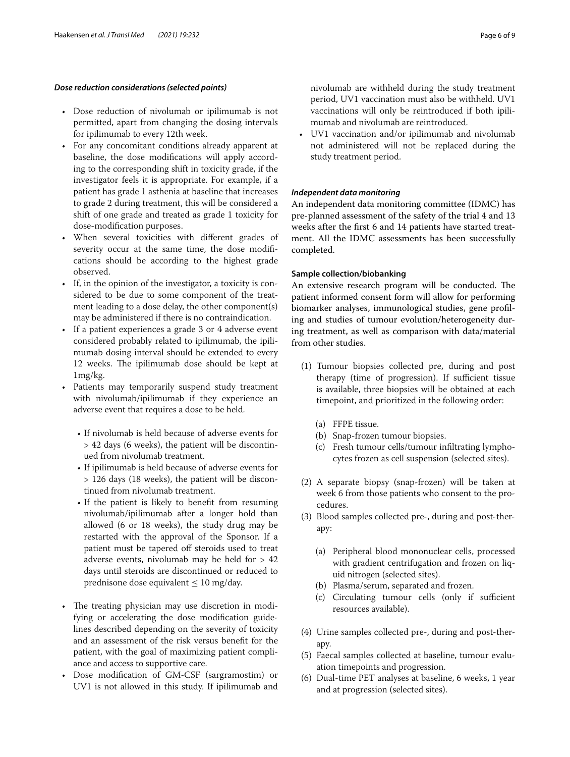### *Dose reduction considerations (selected points)*

- Dose reduction of nivolumab or ipilimumab is not permitted, apart from changing the dosing intervals for ipilimumab to every 12th week.
- For any concomitant conditions already apparent at baseline, the dose modifcations will apply according to the corresponding shift in toxicity grade, if the investigator feels it is appropriate. For example, if a patient has grade 1 asthenia at baseline that increases to grade 2 during treatment, this will be considered a shift of one grade and treated as grade 1 toxicity for dose-modifcation purposes.
- When several toxicities with diferent grades of severity occur at the same time, the dose modifcations should be according to the highest grade observed.
- If, in the opinion of the investigator, a toxicity is considered to be due to some component of the treatment leading to a dose delay, the other component(s) may be administered if there is no contraindication.
- If a patient experiences a grade 3 or 4 adverse event considered probably related to ipilimumab, the ipilimumab dosing interval should be extended to every 12 weeks. The ipilimumab dose should be kept at 1mg/kg.
- Patients may temporarily suspend study treatment with nivolumab/ipilimumab if they experience an adverse event that requires a dose to be held.
	- If nivolumab is held because of adverse events for > 42 days (6 weeks), the patient will be discontinued from nivolumab treatment.
	- If ipilimumab is held because of adverse events for > 126 days (18 weeks), the patient will be discontinued from nivolumab treatment.
	- If the patient is likely to beneft from resuming nivolumab/ipilimumab after a longer hold than allowed (6 or 18 weeks), the study drug may be restarted with the approval of the Sponsor. If a patient must be tapered off steroids used to treat adverse events, nivolumab may be held for  $> 42$ days until steroids are discontinued or reduced to prednisone dose equivalent  $\leq 10$  mg/day.
- The treating physician may use discretion in modifying or accelerating the dose modifcation guidelines described depending on the severity of toxicity and an assessment of the risk versus beneft for the patient, with the goal of maximizing patient compliance and access to supportive care.
- Dose modifcation of GM-CSF (sargramostim) or UV1 is not allowed in this study. If ipilimumab and

nivolumab are withheld during the study treatment period, UV1 vaccination must also be withheld. UV1 vaccinations will only be reintroduced if both ipilimumab and nivolumab are reintroduced.

• UV1 vaccination and/or ipilimumab and nivolumab not administered will not be replaced during the study treatment period.

# *Independent data monitoring*

An independent data monitoring committee (IDMC) has pre-planned assessment of the safety of the trial 4 and 13 weeks after the frst 6 and 14 patients have started treatment. All the IDMC assessments has been successfully completed.

## **Sample collection/biobanking**

An extensive research program will be conducted. The patient informed consent form will allow for performing biomarker analyses, immunological studies, gene profling and studies of tumour evolution/heterogeneity during treatment, as well as comparison with data/material from other studies.

- (1) Tumour biopsies collected pre, during and post therapy (time of progression). If sufficient tissue is available, three biopsies will be obtained at each timepoint, and prioritized in the following order:
	- (a) FFPE tissue.
	- (b) Snap-frozen tumour biopsies.
	- (c) Fresh tumour cells/tumour infltrating lymphocytes frozen as cell suspension (selected sites).
- (2) A separate biopsy (snap-frozen) will be taken at week 6 from those patients who consent to the procedures.
- (3) Blood samples collected pre-, during and post-therapy:
	- (a) Peripheral blood mononuclear cells, processed with gradient centrifugation and frozen on liquid nitrogen (selected sites).
	- (b) Plasma/serum, separated and frozen.
	- (c) Circulating tumour cells (only if sufficient resources available).
- (4) Urine samples collected pre-, during and post-therapy.
- (5) Faecal samples collected at baseline, tumour evaluation timepoints and progression.
- (6) Dual-time PET analyses at baseline, 6 weeks, 1 year and at progression (selected sites).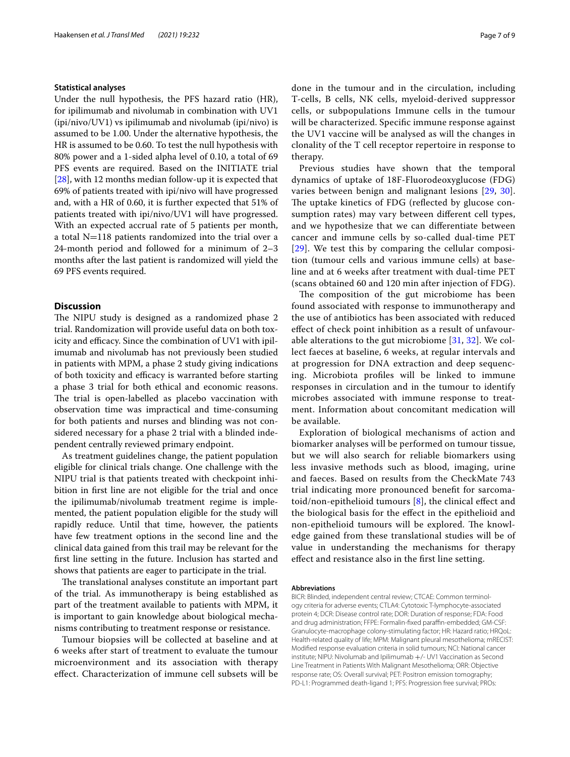### **Statistical analyses**

Under the null hypothesis, the PFS hazard ratio (HR), for ipilimumab and nivolumab in combination with UV1 (ipi/nivo/UV1) vs ipilimumab and nivolumab (ipi/nivo) is assumed to be 1.00. Under the alternative hypothesis, the HR is assumed to be 0.60. To test the null hypothesis with 80% power and a 1-sided alpha level of 0.10, a total of 69 PFS events are required. Based on the INITIATE trial [[28\]](#page-8-8), with 12 months median follow-up it is expected that 69% of patients treated with ipi/nivo will have progressed and, with a HR of 0.60, it is further expected that 51% of patients treated with ipi/nivo/UV1 will have progressed. With an expected accrual rate of 5 patients per month, a total  $N=118$  patients randomized into the trial over a 24-month period and followed for a minimum of 2–3 months after the last patient is randomized will yield the 69 PFS events required.

# **Discussion**

The NIPU study is designed as a randomized phase 2 trial. Randomization will provide useful data on both toxicity and efficacy. Since the combination of UV1 with ipilimumab and nivolumab has not previously been studied in patients with MPM, a phase 2 study giving indications of both toxicity and efficacy is warranted before starting a phase 3 trial for both ethical and economic reasons. The trial is open-labelled as placebo vaccination with observation time was impractical and time-consuming for both patients and nurses and blinding was not considered necessary for a phase 2 trial with a blinded independent centrally reviewed primary endpoint.

As treatment guidelines change, the patient population eligible for clinical trials change. One challenge with the NIPU trial is that patients treated with checkpoint inhibition in frst line are not eligible for the trial and once the ipilimumab/nivolumab treatment regime is implemented, the patient population eligible for the study will rapidly reduce. Until that time, however, the patients have few treatment options in the second line and the clinical data gained from this trail may be relevant for the frst line setting in the future. Inclusion has started and shows that patients are eager to participate in the trial.

The translational analyses constitute an important part of the trial. As immunotherapy is being established as part of the treatment available to patients with MPM, it is important to gain knowledge about biological mechanisms contributing to treatment response or resistance.

Tumour biopsies will be collected at baseline and at 6 weeks after start of treatment to evaluate the tumour microenvironment and its association with therapy efect. Characterization of immune cell subsets will be done in the tumour and in the circulation, including T-cells, B cells, NK cells, myeloid-derived suppressor cells, or subpopulations Immune cells in the tumour will be characterized. Specifc immune response against the UV1 vaccine will be analysed as will the changes in clonality of the T cell receptor repertoire in response to therapy.

Previous studies have shown that the temporal dynamics of uptake of 18F-Fluorodeoxyglucose (FDG) varies between benign and malignant lesions [[29,](#page-8-9) [30](#page-8-10)]. The uptake kinetics of FDG (reflected by glucose consumption rates) may vary between diferent cell types, and we hypothesize that we can diferentiate between cancer and immune cells by so-called dual-time PET [[29](#page-8-9)]. We test this by comparing the cellular composition (tumour cells and various immune cells) at baseline and at 6 weeks after treatment with dual-time PET (scans obtained 60 and 120 min after injection of FDG).

The composition of the gut microbiome has been found associated with response to immunotherapy and the use of antibiotics has been associated with reduced efect of check point inhibition as a result of unfavourable alterations to the gut microbiome  $[31, 32]$  $[31, 32]$ . We collect faeces at baseline, 6 weeks, at regular intervals and at progression for DNA extraction and deep sequencing. Microbiota profles will be linked to immune responses in circulation and in the tumour to identify microbes associated with immune response to treatment. Information about concomitant medication will be available.

Exploration of biological mechanisms of action and biomarker analyses will be performed on tumour tissue, but we will also search for reliable biomarkers using less invasive methods such as blood, imaging, urine and faeces. Based on results from the CheckMate 743 trial indicating more pronounced beneft for sarcomatoid/non-epithelioid tumours  $[8]$  $[8]$ , the clinical effect and the biological basis for the efect in the epithelioid and non-epithelioid tumours will be explored. The knowledge gained from these translational studies will be of value in understanding the mechanisms for therapy efect and resistance also in the frst line setting.

#### **Abbreviations**

BICR: Blinded, independent central review; CTCAE: Common terminology criteria for adverse events; CTLA4: Cytotoxic T-lymphocyte-associated protein 4; DCR: Disease control rate; DOR: Duration of response; FDA: Food and drug administration; FFPE: Formalin-fixed paraffin-embedded; GM-CSF: Granulocyte-macrophage colony-stimulating factor; HR: Hazard ratio; HRQoL: Health-related quality of life; MPM: Malignant pleural mesothelioma; mRECIST: Modifed response evaluation criteria in solid tumours; NCI: National cancer institute; NIPU: Nivolumab and Ipilimumab +/- UV1 Vaccination as Second Line Treatment in Patients With Malignant Mesothelioma; ORR: Objective response rate; OS: Overall survival; PET: Positron emission tomography; PD-L1: Programmed death-ligand 1; PFS: Progression free survival; PROs: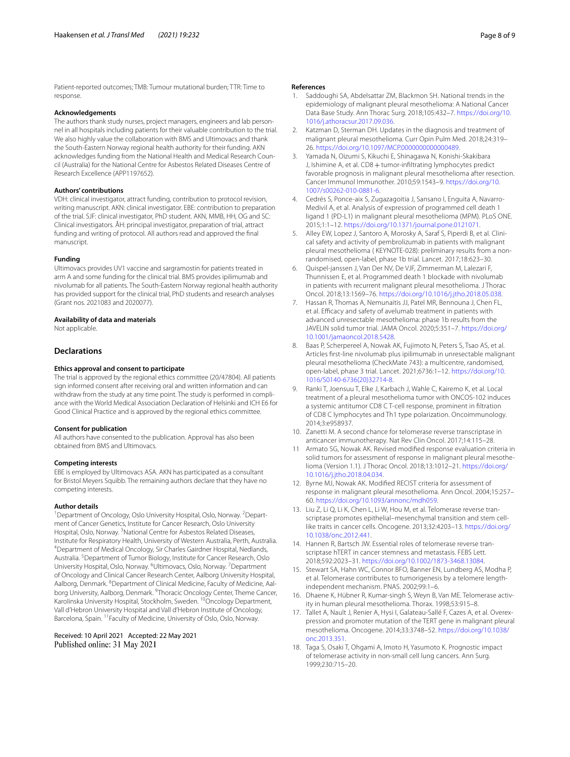Patient-reported outcomes; TMB: Tumour mutational burden; TTR: Time to response.

#### **Acknowledgements**

The authors thank study nurses, project managers, engineers and lab personnel in all hospitals including patients for their valuable contribution to the trial. We also highly value the collaboration with BMS and Ultimovacs and thank the South-Eastern Norway regional health authority for their funding. AKN acknowledges funding from the National Health and Medical Research Council (Australia) for the National Centre for Asbestos Related Diseases Centre of Research Excellence (APP1197652).

### **Authors' contributions**

VDH: clinical investigator, attract funding, contribution to protocol revision, writing manuscript. AKN: clinical investigator. EBE: contribution to preparation of the trial. SJF: clinical investigator, PhD student. AKN, MMB, HH, OG and SC: Clinical investigators. ÅH: principal investigator, preparation of trial, attract funding and writing of protocol. All authors read and approved the fnal manuscript.

#### **Funding**

Ultimovacs provides UV1 vaccine and sargramostin for patients treated in arm A and some funding for the clinical trial. BMS provides ipilimumab and nivolumab for all patients. The South-Eastern Norway regional health authority has provided support for the clinical trial, PhD students and research analyses (Grant nos. 2021083 and 2020077).

#### **Availability of data and materials**

Not applicable.

## **Declarations**

#### **Ethics approval and consent to participate**

The trial is approved by the regional ethics committee (20/47804). All patients sign informed consent after receiving oral and written information and can withdraw from the study at any time point. The study is performed in compliance with the World Medical Association Declaration of Helsinki and ICH E6 for Good Clinical Practice and is approved by the regional ethics committee.

#### **Consent for publication**

All authors have consented to the publication. Approval has also been obtained from BMS and Ultimovacs.

#### **Competing interests**

EBE is employed by Ultimovacs ASA. AKN has participated as a consultant for Bristol Meyers Squibb. The remaining authors declare that they have no competing interests.

#### **Author details**

<sup>1</sup> Department of Oncology, Oslo University Hospital, Oslo, Norway. <sup>2</sup> Department of Cancer Genetics, Institute for Cancer Research, Oslo University Hospital, Oslo, Norway. <sup>3</sup> National Centre for Asbestos Related Diseases, Institute for Respiratory Health, University of Western Australia, Perth, Australia. 4 Department of Medical Oncology, Sir Charles Gairdner Hospital, Nedlands, Australia. <sup>5</sup> Department of Tumor Biology, Institute for Cancer Research, Oslo University Hospital, Oslo, Norway. <sup>6</sup>Ultimovacs, Oslo, Norway. <sup>7</sup> Department of Oncology and Clinical Cancer Research Center, Aalborg University Hospital, Aalborg, Denmark. <sup>8</sup>Department of Clinical Medicine, Faculty of Medicine, Aalborg University, Aalborg, Denmark. <sup>9</sup>Thoracic Oncology Center, Theme Cancer, Karolinska University Hospital, Stockholm, Sweden. 10Oncology Department, Vall d'Hebron University Hospital and Vall d'Hebron Institute of Oncology, Barcelona, Spain. <sup>11</sup> Faculty of Medicine, University of Oslo, Oslo, Norway.

Received: 10 April 2021 Accepted: 22 May 2021 Published online: 31 May 2021

#### **References**

- <span id="page-7-0"></span>Saddoughi SA, Abdelsattar ZM, Blackmon SH. National trends in the epidemiology of malignant pleural mesothelioma: A National Cancer Data Base Study. Ann Thorac Surg. 2018;105:432–7. [https://doi.org/10.](https://doi.org/10.1016/j.athoracsur.2017.09.036) [1016/j.athoracsur.2017.09.036](https://doi.org/10.1016/j.athoracsur.2017.09.036).
- <span id="page-7-1"></span>2. Katzman D, Sterman DH. Updates in the diagnosis and treatment of malignant pleural mesothelioma. Curr Opin Pulm Med. 2018;24:319– 26. [https://doi.org/10.1097/MCP.0000000000000489.](https://doi.org/10.1097/MCP.0000000000000489)
- <span id="page-7-2"></span>Yamada N, Oizumi S, Kikuchi E, Shinagawa N, Konishi-Skakibara J, Ishimine A, et al. CD8 + tumor-infiltrating lymphocytes predict favorable prognosis in malignant pleural mesothelioma after resection. Cancer Immunol Immunother. 2010;59:1543–9. [https://doi.org/10.](https://doi.org/10.1007/s00262-010-0881-6) [1007/s00262-010-0881-6](https://doi.org/10.1007/s00262-010-0881-6).
- <span id="page-7-3"></span>Cedrés S, Ponce-aix S, Zugazagoitia J, Sansano I, Enguita A, Navarro-Medivil A, et al. Analysis of expression of programmed cell death 1 ligand 1 (PD-L1) in malignant pleural mesothelioma (MPM). PLoS ONE. 2015;1:1–12. [https://doi.org/10.1371/journal.pone.0121071.](https://doi.org/10.1371/journal.pone.0121071)
- <span id="page-7-4"></span>5. Alley EW, Lopez J, Santoro A, Morosky A, Saraf S, Piperdi B, et al. Clinical safety and activity of pembrolizumab in patients with malignant pleural mesothelioma ( KEYNOTE-028): preliminary results from a nonrandomised, open-label, phase 1b trial. Lancet. 2017;18:623–30.
- 6. Quispel-janssen J, Van Der NV, De VJF, Zimmerman M, Lalezari F, Thunnissen E, et al. Programmed death 1 blockade with nivolumab in patients with recurrent malignant pleural mesothelioma. J Thorac Oncol. 2018;13:1569–76.<https://doi.org/10.1016/j.jtho.2018.05.038>.
- <span id="page-7-5"></span>Hassan R, Thomas A, Nemunaitis JJ, Patel MR, Bennouna J, Chen FL, et al. Efficacy and safety of avelumab treatment in patients with advanced unresectable mesothelioma: phase 1b results from the JAVELIN solid tumor trial. JAMA Oncol. 2020;5:351–7. [https://doi.org/](https://doi.org/10.1001/jamaoncol.2018.5428) [10.1001/jamaoncol.2018.5428.](https://doi.org/10.1001/jamaoncol.2018.5428)
- <span id="page-7-6"></span>8. Baas P, Scherpereel A, Nowak AK, Fujimoto N, Peters S, Tsao AS, et al. Articles frst-line nivolumab plus ipilimumab in unresectable malignant pleural mesothelioma (CheckMate 743): a multicentre, randomised, open-label, phase 3 trial. Lancet. 2021;6736:1–12. [https://doi.org/10.](https://doi.org/10.1016/S0140-6736(20)32714-8) [1016/S0140-6736\(20\)32714-8](https://doi.org/10.1016/S0140-6736(20)32714-8).
- <span id="page-7-7"></span>Ranki T, Joensuu T, Elke J, Karbach J, Wahle C, Kairemo K, et al. Local treatment of a pleural mesothelioma tumor with ONCOS-102 induces a systemic antitumor CD8 C T-cell response, prominent in fltration of CD8 C lymphocytes and Th1 type polarization. Oncoimmunology. 2014;3:e958937.
- <span id="page-7-8"></span>10. Zanetti M. A second chance for telomerase reverse transcriptase in anticancer immunotherapy. Nat Rev Clin Oncol. 2017;14:115–28.
- <span id="page-7-9"></span>11 Armato SG, Nowak AK. Revised modifed response evaluation criteria in solid tumors for assessment of response in malignant pleural mesothelioma (Version 1.1). J Thorac Oncol. 2018;13:1012–21. [https://doi.org/](https://doi.org/10.1016/j.jtho.2018.04.034) [10.1016/j.jtho.2018.04.034.](https://doi.org/10.1016/j.jtho.2018.04.034)
- <span id="page-7-10"></span>12. Byrne MJ, Nowak AK. Modifed RECIST criteria for assessment of response in malignant pleural mesothelioma. Ann Oncol. 2004;15:257– 60. [https://doi.org/10.1093/annonc/mdh059.](https://doi.org/10.1093/annonc/mdh059)
- <span id="page-7-11"></span>13. Liu Z, Li Q, Li K, Chen L, Li W, Hou M, et al. Telomerase reverse transcriptase promotes epithelial–mesenchymal transition and stem celllike traits in cancer cells. Oncogene. 2013;32:4203–13. [https://doi.org/](https://doi.org/10.1038/onc.2012.441) [10.1038/onc.2012.441](https://doi.org/10.1038/onc.2012.441).
- 14. Hannen R, Bartsch JW. Essential roles of telomerase reverse transcriptase hTERT in cancer stemness and metastasis. FEBS Lett. 2018;592:2023–31. [https://doi.org/10.1002/1873-3468.13084.](https://doi.org/10.1002/1873-3468.13084)
- <span id="page-7-12"></span>15. Stewart SA, Hahn WC, Connor BFO, Banner EN, Lundberg AS, Modha P, et al. Telomerase contributes to tumorigenesis by a telomere lengthindependent mechanism. PNAS. 2002;99:1–6.
- <span id="page-7-13"></span>16. Dhaene K, Hübner R, Kumar-singh S, Weyn B, Van ME. Telomerase activity in human pleural mesothelioma. Thorax. 1998;53:915–8.
- <span id="page-7-14"></span>17. Tallet A, Nault J, Renier A, Hysi I, Galateau-Sallé F, Cazes A, et al. Overexpression and promoter mutation of the TERT gene in malignant pleural mesothelioma. Oncogene. 2014;33:3748–52. [https://doi.org/10.1038/](https://doi.org/10.1038/onc.2013.351) [onc.2013.351](https://doi.org/10.1038/onc.2013.351).
- <span id="page-7-15"></span>18. Taga S, Osaki T, Ohgami A, Imoto H, Yasumoto K. Prognostic impact of telomerase activity in non-small cell lung cancers. Ann Surg. 1999;230:715–20.